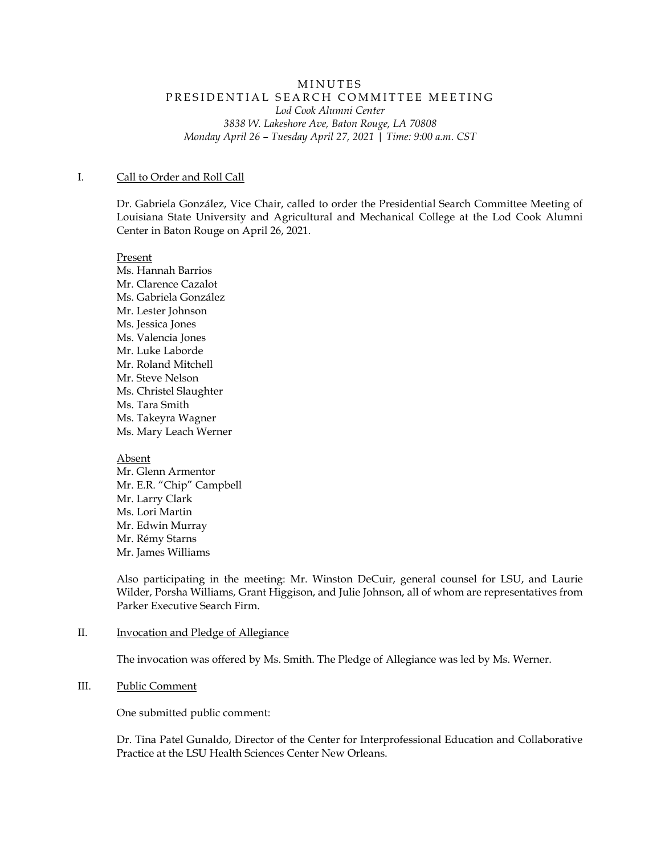# MINUTES PRESIDENTIAL SEARCH COMMITTEE MEETING *Lod Cook Alumni Center 3838 W. Lakeshore Ave, Baton Rouge, LA 70808 Monday April 26 – Tuesday April 27, 2021 | Time: 9:00 a.m. CST*

### I. Call to Order and Roll Call

Dr. Gabriela González, Vice Chair, called to order the Presidential Search Committee Meeting of Louisiana State University and Agricultural and Mechanical College at the Lod Cook Alumni Center in Baton Rouge on April 26, 2021.

Present Ms. Hannah Barrios Mr. Clarence Cazalot Ms. Gabriela González Mr. Lester Johnson Ms. Jessica Jones Ms. Valencia Jones Mr. Luke Laborde Mr. Roland Mitchell Mr. Steve Nelson Ms. Christel Slaughter Ms. Tara Smith Ms. Takeyra Wagner Ms. Mary Leach Werner

Absent

Mr. Glenn Armentor Mr. E.R. "Chip" Campbell Mr. Larry Clark Ms. Lori Martin Mr. Edwin Murray Mr. Rémy Starns Mr. James Williams

Also participating in the meeting: Mr. Winston DeCuir, general counsel for LSU, and Laurie Wilder, Porsha Williams, Grant Higgison, and Julie Johnson, all of whom are representatives from Parker Executive Search Firm.

## II. **Invocation and Pledge of Allegiance**

The invocation was offered by Ms. Smith. The Pledge of Allegiance was led by Ms. Werner.

#### III. Public Comment

One submitted public comment:

Dr. Tina Patel Gunaldo, Director of the Center for Interprofessional Education and Collaborative Practice at the LSU Health Sciences Center New Orleans.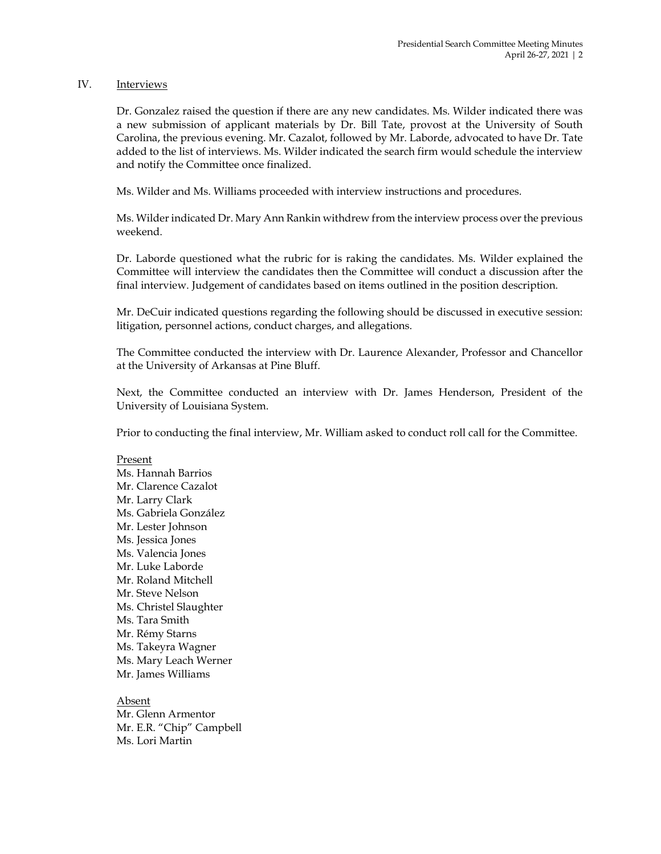# IV. Interviews

Dr. Gonzalez raised the question if there are any new candidates. Ms. Wilder indicated there was a new submission of applicant materials by Dr. Bill Tate, provost at the University of South Carolina, the previous evening. Mr. Cazalot, followed by Mr. Laborde, advocated to have Dr. Tate added to the list of interviews. Ms. Wilder indicated the search firm would schedule the interview and notify the Committee once finalized.

Ms. Wilder and Ms. Williams proceeded with interview instructions and procedures.

Ms. Wilder indicated Dr. Mary Ann Rankin withdrew from the interview process over the previous weekend.

Dr. Laborde questioned what the rubric for is raking the candidates. Ms. Wilder explained the Committee will interview the candidates then the Committee will conduct a discussion after the final interview. Judgement of candidates based on items outlined in the position description.

Mr. DeCuir indicated questions regarding the following should be discussed in executive session: litigation, personnel actions, conduct charges, and allegations.

The Committee conducted the interview with Dr. Laurence Alexander, Professor and Chancellor at the University of Arkansas at Pine Bluff.

Next, the Committee conducted an interview with Dr. James Henderson, President of the University of Louisiana System.

Prior to conducting the final interview, Mr. William asked to conduct roll call for the Committee.

# Present

Ms. Hannah Barrios Mr. Clarence Cazalot Mr. Larry Clark Ms. Gabriela González Mr. Lester Johnson Ms. Jessica Jones Ms. Valencia Jones Mr. Luke Laborde Mr. Roland Mitchell Mr. Steve Nelson Ms. Christel Slaughter Ms. Tara Smith Mr. Rémy Starns Ms. Takeyra Wagner Ms. Mary Leach Werner Mr. James Williams

Absent Mr. Glenn Armentor Mr. E.R. "Chip" Campbell Ms. Lori Martin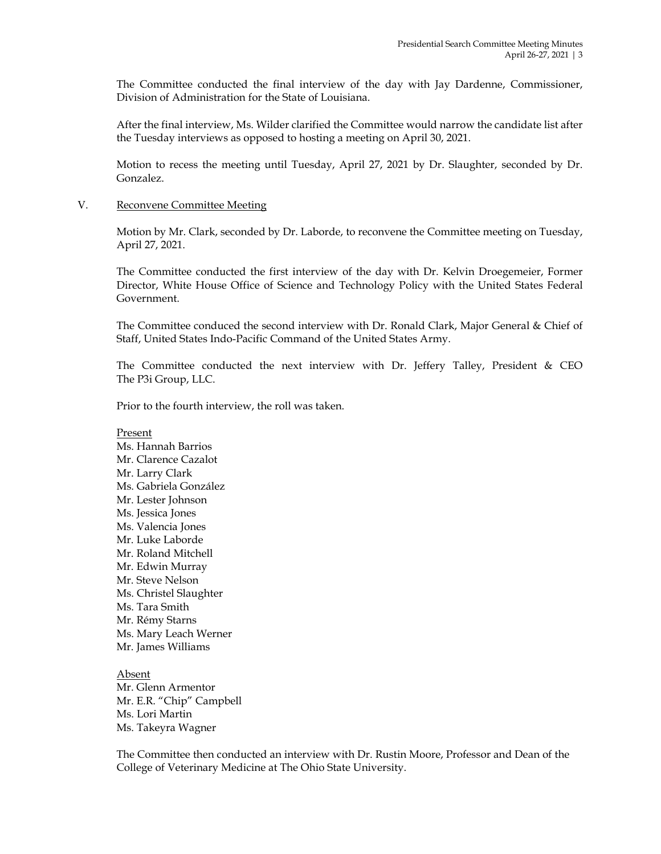The Committee conducted the final interview of the day with Jay Dardenne, Commissioner, Division of Administration for the State of Louisiana.

After the final interview, Ms. Wilder clarified the Committee would narrow the candidate list after the Tuesday interviews as opposed to hosting a meeting on April 30, 2021.

Motion to recess the meeting until Tuesday, April 27, 2021 by Dr. Slaughter, seconded by Dr. Gonzalez.

# V. Reconvene Committee Meeting

Motion by Mr. Clark, seconded by Dr. Laborde, to reconvene the Committee meeting on Tuesday, April 27, 2021.

The Committee conducted the first interview of the day with Dr. Kelvin Droegemeier, Former Director, White House Office of Science and Technology Policy with the United States Federal Government.

The Committee conduced the second interview with Dr. Ronald Clark, Major General & Chief of Staff, United States Indo-Pacific Command of the United States Army.

The Committee conducted the next interview with Dr. Jeffery Talley, President & CEO The P3i Group, LLC.

Prior to the fourth interview, the roll was taken.

Present Ms. Hannah Barrios Mr. Clarence Cazalot Mr. Larry Clark Ms. Gabriela González Mr. Lester Johnson Ms. Jessica Jones Ms. Valencia Jones Mr. Luke Laborde Mr. Roland Mitchell Mr. Edwin Murray Mr. Steve Nelson Ms. Christel Slaughter Ms. Tara Smith Mr. Rémy Starns Ms. Mary Leach Werner Mr. James Williams

Absent Mr. Glenn Armentor Mr. E.R. "Chip" Campbell Ms. Lori Martin Ms. Takeyra Wagner

The Committee then conducted an interview with Dr. Rustin Moore, Professor and Dean of the College of Veterinary Medicine at The Ohio State University.